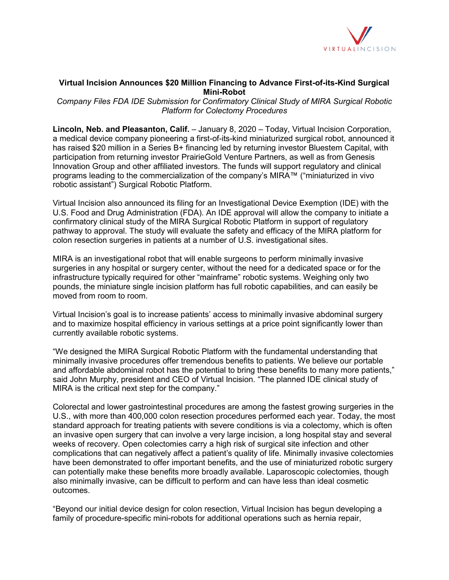

### **Virtual Incision Announces \$20 Million Financing to Advance First-of-its-Kind Surgical Mini-Robot**

*Company Files FDA IDE Submission for Confirmatory Clinical Study of MIRA Surgical Robotic Platform for Colectomy Procedures*

**Lincoln, Neb. and Pleasanton, Calif.** – January 8, 2020 – Today, Virtual Incision Corporation, a medical device company pioneering a first-of-its-kind miniaturized surgical robot, announced it has raised \$20 million in a Series B+ financing led by returning investor Bluestem Capital, with participation from returning investor PrairieGold Venture Partners, as well as from Genesis Innovation Group and other affiliated investors. The funds will support regulatory and clinical programs leading to the commercialization of the company's MIRA™ ("miniaturized in vivo robotic assistant") Surgical Robotic Platform.

Virtual Incision also announced its filing for an Investigational Device Exemption (IDE) with the U.S. Food and Drug Administration (FDA). An IDE approval will allow the company to initiate a confirmatory clinical study of the MIRA Surgical Robotic Platform in support of regulatory pathway to approval. The study will evaluate the safety and efficacy of the MIRA platform for colon resection surgeries in patients at a number of U.S. investigational sites.

MIRA is an investigational robot that will enable surgeons to perform minimally invasive surgeries in any hospital or surgery center, without the need for a dedicated space or for the infrastructure typically required for other "mainframe" robotic systems. Weighing only two pounds, the miniature single incision platform has full robotic capabilities, and can easily be moved from room to room.

Virtual Incision's goal is to increase patients' access to minimally invasive abdominal surgery and to maximize hospital efficiency in various settings at a price point significantly lower than currently available robotic systems.

"We designed the MIRA Surgical Robotic Platform with the fundamental understanding that minimally invasive procedures offer tremendous benefits to patients. We believe our portable and affordable abdominal robot has the potential to bring these benefits to many more patients," said John Murphy, president and CEO of Virtual Incision. "The planned IDE clinical study of MIRA is the critical next step for the company."

Colorectal and lower gastrointestinal procedures are among the fastest growing surgeries in the U.S., with more than 400,000 colon resection procedures performed each year. Today, the most standard approach for treating patients with severe conditions is via a colectomy, which is often an invasive open surgery that can involve a very large incision, a long hospital stay and several weeks of recovery. Open colectomies carry a high risk of surgical site infection and other complications that can negatively affect a patient's quality of life. Minimally invasive colectomies have been demonstrated to offer important benefits, and the use of miniaturized robotic surgery can potentially make these benefits more broadly available. Laparoscopic colectomies, though also minimally invasive, can be difficult to perform and can have less than ideal cosmetic outcomes.

"Beyond our initial device design for colon resection, Virtual Incision has begun developing a family of procedure-specific mini-robots for additional operations such as hernia repair,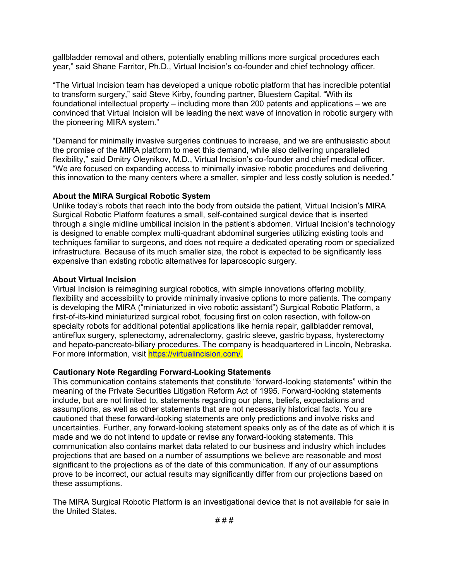gallbladder removal and others, potentially enabling millions more surgical procedures each year," said Shane Farritor, Ph.D., Virtual Incision's co-founder and chief technology officer.

"The Virtual Incision team has developed a unique robotic platform that has incredible potential to transform surgery," said Steve Kirby, founding partner, Bluestem Capital. "With its foundational intellectual property – including more than 200 patents and applications – we are convinced that Virtual Incision will be leading the next wave of innovation in robotic surgery with the pioneering MIRA system."

"Demand for minimally invasive surgeries continues to increase, and we are enthusiastic about the promise of the MIRA platform to meet this demand, while also delivering unparalleled flexibility," said Dmitry Oleynikov, M.D., Virtual Incision's co-founder and chief medical officer. "We are focused on expanding access to minimally invasive robotic procedures and delivering this innovation to the many centers where a smaller, simpler and less costly solution is needed."

### **About the MIRA Surgical Robotic System**

Unlike today's robots that reach into the body from outside the patient, Virtual Incision's MIRA Surgical Robotic Platform features a small, self-contained surgical device that is inserted through a single midline umbilical incision in the patient's abdomen. Virtual Incision's technology is designed to enable complex multi-quadrant abdominal surgeries utilizing existing tools and techniques familiar to surgeons, and does not require a dedicated operating room or specialized infrastructure. Because of its much smaller size, the robot is expected to be significantly less expensive than existing robotic alternatives for laparoscopic surgery.

### **About Virtual Incision**

Virtual Incision is reimagining surgical robotics, with simple innovations offering mobility, flexibility and accessibility to provide minimally invasive options to more patients. The company is developing the MIRA ("miniaturized in vivo robotic assistant") Surgical Robotic Platform, a first-of-its-kind miniaturized surgical robot, focusing first on colon resection, with follow-on specialty robots for additional potential applications like hernia repair, gallbladder removal, antireflux surgery, splenectomy, adrenalectomy, gastric sleeve, gastric bypass, hysterectomy and hepato-pancreato-biliary procedures. The company is headquartered in Lincoln, Nebraska. For more information, visit [https://virtualincision.com/.](https://virtualincision.com/)

## **Cautionary Note Regarding Forward-Looking Statements**

This communication contains statements that constitute "forward-looking statements" within the meaning of the Private Securities Litigation Reform Act of 1995. Forward-looking statements include, but are not limited to, statements regarding our plans, beliefs, expectations and assumptions, as well as other statements that are not necessarily historical facts. You are cautioned that these forward-looking statements are only predictions and involve risks and uncertainties. Further, any forward-looking statement speaks only as of the date as of which it is made and we do not intend to update or revise any forward-looking statements. This communication also contains market data related to our business and industry which includes projections that are based on a number of assumptions we believe are reasonable and most significant to the projections as of the date of this communication. If any of our assumptions prove to be incorrect, our actual results may significantly differ from our projections based on these assumptions.

The MIRA Surgical Robotic Platform is an investigational device that is not available for sale in the United States.